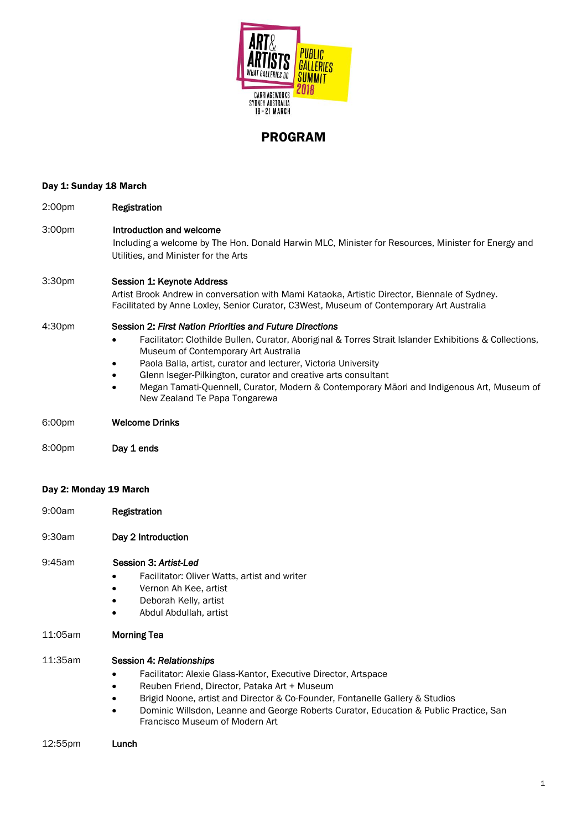

# PROGRAM

# Day 1: Sunday 18 March

| 2:00pm | Registration                                                                                                                                                                                                            |
|--------|-------------------------------------------------------------------------------------------------------------------------------------------------------------------------------------------------------------------------|
| 3:00pm | Introduction and welcome<br>Including a welcome by The Hon. Donald Harwin MLC, Minister for Resources, Minister for Energy and<br>Utilities, and Minister for the Arts                                                  |
| 3:30pm | Session 1: Keynote Address<br>Artist Brook Andrew in conversation with Mami Kataoka, Artistic Director, Biennale of Sydney.<br>Facilitated by Anne Loxley, Senior Curator, C3West, Museum of Contemporary Art Australia |
| 4:30pm | Session 2: First Nation Priorities and Future Directions                                                                                                                                                                |
|        | Facilitator: Clothilde Bullen, Curator, Aboriginal & Torres Strait Islander Exhibitions & Collections,<br>$\bullet$<br>Museum of Contemporary Art Australia                                                             |
|        | Paola Balla, artist, curator and lecturer, Victoria University<br>٠                                                                                                                                                     |
|        | Glenn Iseger-Pilkington, curator and creative arts consultant<br>٠                                                                                                                                                      |
|        | Megan Tamati-Quennell, Curator, Modern & Contemporary Māori and Indigenous Art, Museum of<br>$\bullet$                                                                                                                  |

6:00pm Welcome Drinks

8:00pm Day 1 ends

### Day 2: Monday 19 March

- 9:00am Registration
- 9:30am Day 2 Introduction

### 9:45am Session 3: *Artist-Led*

Facilitator: Oliver Watts, artist and writer

New Zealand Te Papa Tongarewa

- Vernon Ah Kee, artist
- Deborah Kelly, artist
- Abdul Abdullah, artist

## 11:05am Morning Tea

## 11:35am Session 4: *Relationships*

- Facilitator: Alexie Glass-Kantor, Executive Director, Artspace
- Reuben Friend, Director, Pataka Art + Museum
- **Brigid Noone, artist and Director & Co-Founder, Fontanelle Gallery & Studios**
- Dominic Willsdon, Leanne and George Roberts Curator, Education & Public Practice, San Francisco Museum of Modern Art
- 12:55pm Lunch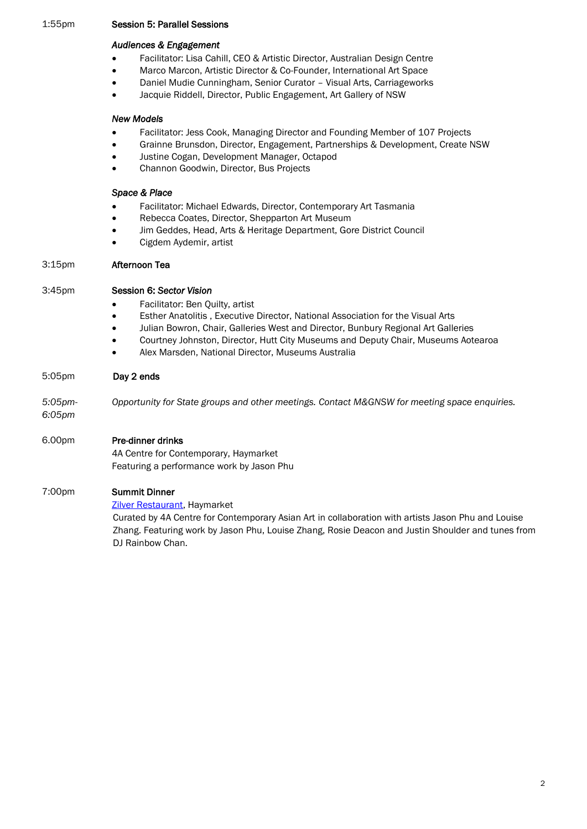## 1:55pm Session 5: Parallel Sessions

# *Audiences & Engagement*

- Facilitator: Lisa Cahill, CEO & Artistic Director, Australian Design Centre
- Marco Marcon, Artistic Director & Co-Founder, International Art Space
- Daniel Mudie Cunningham, Senior Curator Visual Arts, Carriageworks
- Jacquie Riddell, Director, Public Engagement, Art Gallery of NSW

## *New Models*

- Facilitator: Jess Cook, Managing Director and Founding Member of 107 Projects
- Grainne Brunsdon, Director, Engagement, Partnerships & Development, Create NSW
- Justine Cogan, Development Manager, Octapod
- Channon Goodwin, Director, Bus Projects

## *Space & Place*

- Facilitator: Michael Edwards, Director, Contemporary Art Tasmania
- Rebecca Coates, Director, Shepparton Art Museum
- Jim Geddes, Head, Arts & Heritage Department, Gore District Council
- Cigdem Aydemir, artist

## 3:15pm Afternoon Tea

## 3:45pm Session 6: *Sector Vision*

- Facilitator: Ben Quilty, artist
- Esther Anatolitis , Executive Director, National Association for the Visual Arts
- Julian Bowron, Chair, Galleries West and Director, Bunbury Regional Art Galleries
- Courtney Johnston, Director, Hutt City Museums and Deputy Chair, Museums Aotearoa
- Alex Marsden, National Director, Museums Australia

## 5:05pm Day 2 ends

*5:05pm- Opportunity for State groups and other meetings. Contact M&GNSW for meeting space enquiries.*

# *6:05pm*

# 6.00pm Pre-dinner drinks

4A Centre for Contemporary, Haymarket Featuring a performance work by Jason Phu

## 7:00pm Summit Dinner

Zilver [Restaurant,](http://www.zilver.com.au/) Haymarket

Curated by 4A Centre for Contemporary Asian Art in collaboration with artists Jason Phu and Louise Zhang. Featuring work by Jason Phu, Louise Zhang, Rosie Deacon and Justin Shoulder and tunes from DJ Rainbow Chan.